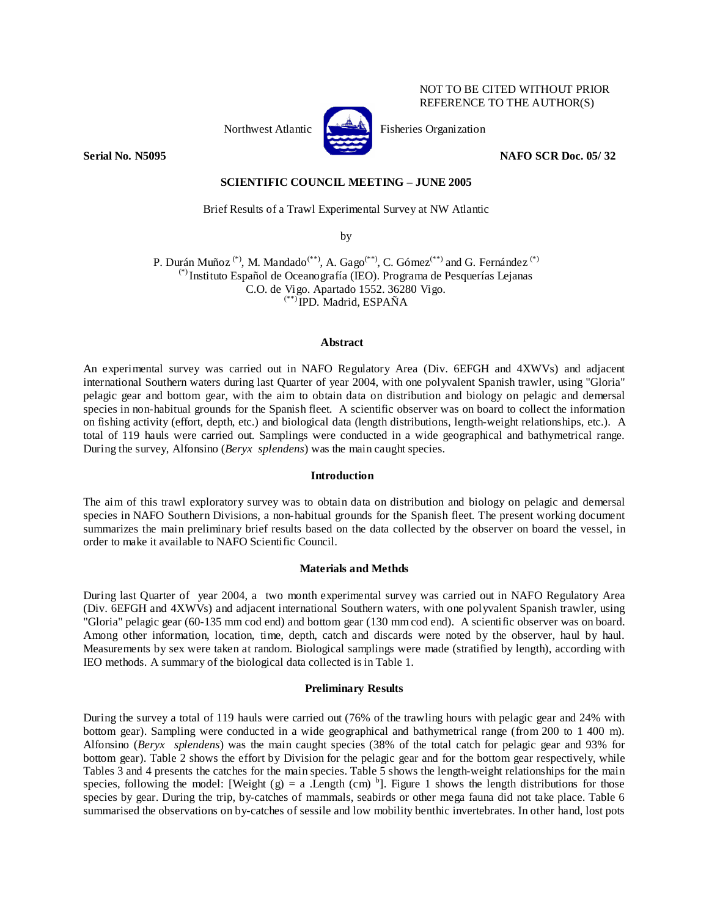## NOT TO BE CITED WITHOUT PRIOR REFERENCE TO THE AUTHOR(S)



Northwest Atlantic  $\left[\sum_{n=1}^{\infty} \mathbb{I}\right]$  Fisheries Organization

**Serial No. N5095** NAFO SCR Doc. 05/32

### **SCIENTIFIC COUNCIL MEETING – JUNE 2005**

Brief Results of a Trawl Experimental Survey at NW Atlantic

by

P. Durán Muñoz<sup>(\*)</sup>, M. Mandado<sup>(\*\*)</sup>, A. Gago<sup>(\*\*)</sup>, C. Gómez<sup>(\*\*)</sup> and G. Fernández<sup>(\*)</sup> (\*) Instituto Español de Oceanografía (IEO). Programa de Pesquerías Lejanas C.O. de Vigo. Apartado 1552. 36280 Vigo. (\*\*) IPD. Madrid, ESPAÑA

### **Abstract**

An experimental survey was carried out in NAFO Regulatory Area (Div. 6EFGH and 4XWVs) and adjacent international Southern waters during last Quarter of year 2004, with one polyvalent Spanish trawler, using "Gloria" pelagic gear and bottom gear, with the aim to obtain data on distribution and biology on pelagic and demersal species in non-habitual grounds for the Spanish fleet. A scientific observer was on board to collect the information on fishing activity (effort, depth, etc.) and biological data (length distributions, length-weight relationships, etc.). A total of 119 hauls were carried out. Samplings were conducted in a wide geographical and bathymetrical range. During the survey, Alfonsino (*Beryx splendens*) was the main caught species.

#### **Introduction**

The aim of this trawl exploratory survey was to obtain data on distribution and biology on pelagic and demersal species in NAFO Southern Divisions, a non-habitual grounds for the Spanish fleet. The present working document summarizes the main preliminary brief results based on the data collected by the observer on board the vessel, in order to make it available to NAFO Scientific Council.

### **Materials and Methds**

During last Quarter of year 2004, a two month experimental survey was carried out in NAFO Regulatory Area (Div. 6EFGH and 4XWVs) and adjacent international Southern waters, with one polyvalent Spanish trawler, using "Gloria" pelagic gear (60-135 mm cod end) and bottom gear (130 mm cod end). A scientific observer was on board. Among other information, location, time, depth, catch and discards were noted by the observer, haul by haul. Measurements by sex were taken at random. Biological samplings were made (stratified by length), according with IEO methods. A summary of the biological data collected is in Table 1.

# **Preliminary Results**

During the survey a total of 119 hauls were carried out (76% of the trawling hours with pelagic gear and 24% with bottom gear). Sampling were conducted in a wide geographical and bathymetrical range (from 200 to 1 400 m). Alfonsino (*Beryx splendens*) was the main caught species (38% of the total catch for pelagic gear and 93% for bottom gear). Table 2 shows the effort by Division for the pelagic gear and for the bottom gear respectively, while Tables 3 and 4 presents the catches for the main species. Table 5 shows the length-weight relationships for the main species, following the model: [Weight (g) = a .Length (cm)  $b$ ]. Figure 1 shows the length distributions for those species by gear. During the trip, by-catches of mammals, seabirds or other mega fauna did not take place. Table 6 summarised the observations on by-catches of sessile and low mobility benthic invertebrates. In other hand, lost pots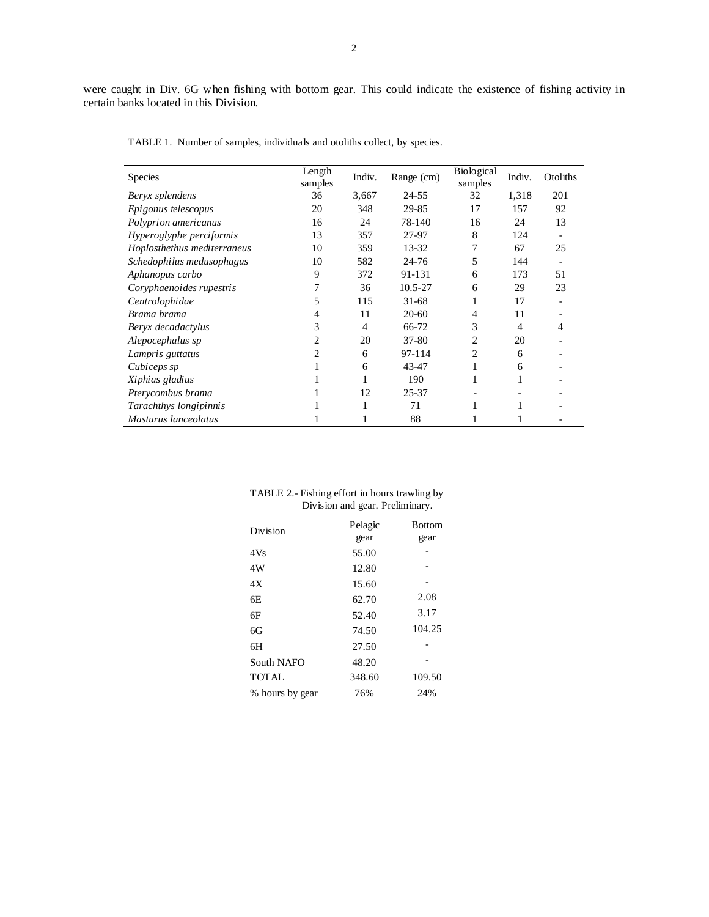| <b>Species</b>              | Length<br>samples | Indiv. | Range (cm) | Biological<br>samples | Indiv. | Otoliths |
|-----------------------------|-------------------|--------|------------|-----------------------|--------|----------|
| Beryx splendens             | 36                | 3,667  | 24-55      | 32                    | 1,318  | 201      |
| Epigonus telescopus         | 20                | 348    | 29-85      | 17                    | 157    | 92       |
| Polyprion americanus        | 16                | 24     | 78-140     | 16                    | 24     | 13       |
| Hyperoglyphe perciformis    | 13                | 357    | 27-97      | 8                     | 124    |          |
| Hoplosthethus mediterraneus | 10                | 359    | $13 - 32$  | 7                     | 67     | 25       |
| Schedophilus medusophagus   | 10                | 582    | $24 - 76$  | 5                     | 144    | ۰        |
| Aphanopus carbo             | 9                 | 372    | 91-131     | 6                     | 173    | 51       |
| Coryphaenoides rupestris    |                   | 36     | 10.5-27    | 6                     | 29     | 23       |
| Centrolophidae              | 5                 | 115    | $31 - 68$  |                       | 17     |          |
| Brama brama                 | 4                 | 11     | $20-60$    | 4                     | 11     |          |
| Beryx decadactylus          | 3                 | 4      | 66-72      | 3                     | 4      | 4        |
| Alepocephalus sp            | 2                 | 20     | 37-80      | 2                     | 20     |          |
| Lampris guttatus            | 2                 | 6      | 97-114     | 2                     | 6      |          |
| Cubiceps sp                 | 1                 | 6      | 43-47      |                       | 6      |          |
| Xiphias gladius             |                   |        | 190        |                       |        |          |
| Pterycombus brama           |                   | 12     | 25-37      |                       |        |          |
| Tarachthys longipinnis      |                   |        | 71         |                       |        |          |
| Masturus lanceolatus        |                   |        | 88         |                       |        |          |

TABLE 1. Number of samples, individuals and otoliths collect, by species.

| TABLE 2.- Fishing effort in hours trawling by |  |
|-----------------------------------------------|--|
| Division and gear. Preliminary.               |  |

| Division        | Pelagic | <b>Bottom</b> |
|-----------------|---------|---------------|
|                 | gear    | gear          |
| 4Vs             | 55.00   |               |
| 4W              | 12.80   |               |
| 4Х              | 15.60   |               |
| 6E              | 62.70   | 2.08          |
| 6F              | 52.40   | 3.17          |
| 6G              | 74.50   | 104.25        |
| 6H              | 27.50   |               |
| South NAFO      | 48.20   |               |
| <b>TOTAL</b>    | 348.60  | 109.50        |
| % hours by gear | 76%     | 24%           |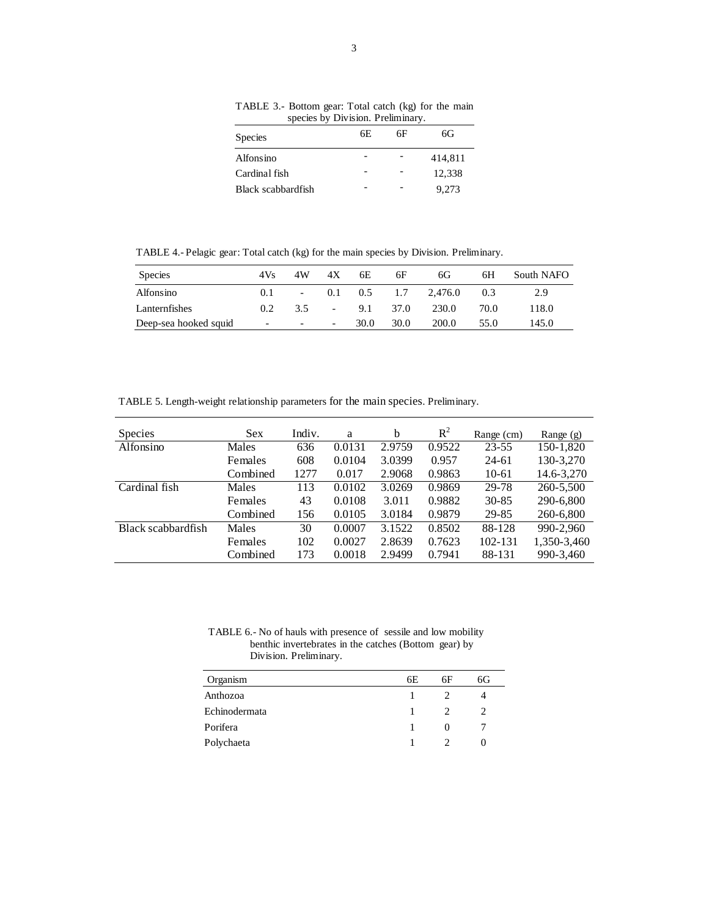| species by Division. Preliminary. |     |    |         |  |  |  |  |
|-----------------------------------|-----|----|---------|--|--|--|--|
| <b>Species</b>                    | 6E. | 6F | 6G      |  |  |  |  |
| Alfonsino                         |     |    | 414,811 |  |  |  |  |
| Cardinal fish                     |     |    | 12,338  |  |  |  |  |
| Black scabbardfish                |     |    | 9.273   |  |  |  |  |

TABLE 3.- Bottom gear: Total catch (kg) for the main species by Division. Preliminary.

TABLE 4.- Pelagic gear: Total catch (kg) for the main species by Division. Preliminary.

| <b>Species</b>        | 4Vs                      | 4W     | 4X                       | 6E   | 6F       | 6G.                     | 6Н   | South NAFO |
|-----------------------|--------------------------|--------|--------------------------|------|----------|-------------------------|------|------------|
| Alfonsino             | 0.1                      |        |                          |      |          | $-$ 0.1 0.5 1.7 2.476.0 | 0.3  | 2.9        |
| Lanternfishes         | $0.2^{\circ}$            | 3.5    | $\sim$                   |      | 9.1 37.0 | 230.0                   | 70.0 | 118.0      |
| Deep-sea hooked squid | $\overline{\phantom{a}}$ | $\sim$ | $\overline{\phantom{a}}$ | 30.0 | 30.0     | 200.0                   | 55.0 | 145.0      |

TABLE 5. Length-weight relationship parameters for the main species. Preliminary.

| <b>Species</b>     | <b>Sex</b>   | Indiv. | a      | b      | $R^2$  | Range (cm) | Range (g)   |
|--------------------|--------------|--------|--------|--------|--------|------------|-------------|
| Alfonsino          | <b>Males</b> | 636    | 0.0131 | 2.9759 | 0.9522 | $23 - 55$  | 150-1,820   |
|                    | Females      | 608    | 0.0104 | 3.0399 | 0.957  | $24 - 61$  | 130-3,270   |
|                    | Combined     | 1277   | 0.017  | 2.9068 | 0.9863 | $10-61$    | 14.6-3,270  |
| Cardinal fish      | Males        | 113    | 0.0102 | 3.0269 | 0.9869 | 29-78      | 260-5,500   |
|                    | Females      | 43     | 0.0108 | 3.011  | 0.9882 | $30 - 85$  | 290-6,800   |
|                    | Combined     | 156    | 0.0105 | 3.0184 | 0.9879 | 29-85      | 260-6,800   |
| Black scabbardfish | <b>Males</b> | 30     | 0.0007 | 3.1522 | 0.8502 | 88-128     | 990-2.960   |
|                    | Females      | 102    | 0.0027 | 2.8639 | 0.7623 | 102-131    | 1,350-3,460 |
|                    | Combined     | 173    | 0.0018 | 2.9499 | 0.7941 | 88-131     | 990-3,460   |

TABLE 6.- No of hauls with presence of sessile and low mobility benthic invertebrates in the catches (Bottom gear) by Division. Preliminary.

| Organism      | 6E | 6F                | 6G |
|---------------|----|-------------------|----|
| Anthozoa      |    |                   |    |
| Echinodermata |    |                   |    |
| Porifera      |    | $\mathbf{\Omega}$ |    |
| Polychaeta    |    |                   |    |